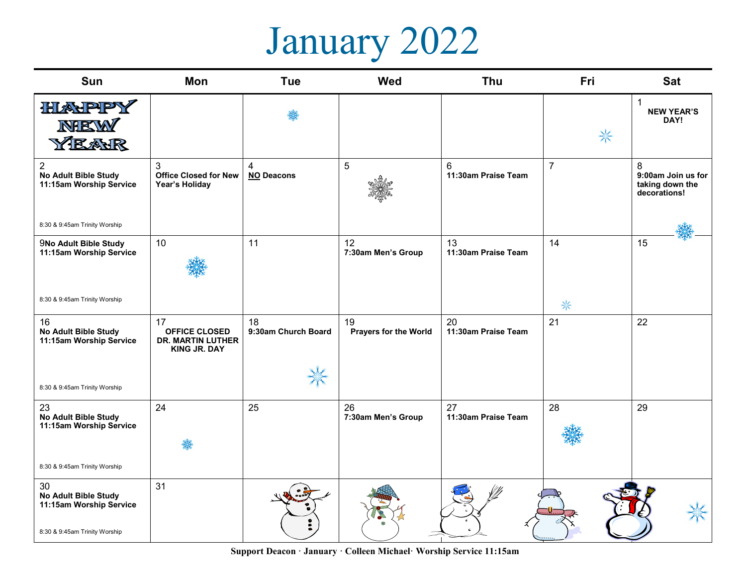## January 2022

| Sun                                                                                           | Mon                                                                           | <b>Tue</b>                | <b>Wed</b>                         | Thu                       | Fri            | <b>Sat</b>                                                 |
|-----------------------------------------------------------------------------------------------|-------------------------------------------------------------------------------|---------------------------|------------------------------------|---------------------------|----------------|------------------------------------------------------------|
| HIANPPY<br>NBEW<br>YEAR                                                                       |                                                                               |                           |                                    |                           | ₩              | $\mathbf{1}$<br><b>NEW YEAR'S</b><br>DAY!                  |
| $\overline{2}$<br><b>No Adult Bible Study</b><br>11:15am Worship Service                      | 3<br><b>Office Closed for New</b><br>Year's Holiday                           | 4<br><b>NO Deacons</b>    | 5                                  | 6<br>11:30am Praise Team  | $\overline{7}$ | 8<br>9:00am Join us for<br>taking down the<br>decorations! |
| 8:30 & 9:45am Trinity Worship                                                                 |                                                                               |                           |                                    |                           |                |                                                            |
| 9No Adult Bible Study<br>11:15am Worship Service                                              | 10                                                                            | 11                        | 12<br>7:30am Men's Group           | 13<br>11:30am Praise Team | 14             | 15                                                         |
| 8:30 & 9:45am Trinity Worship                                                                 |                                                                               |                           |                                    |                           | 米              |                                                            |
| 16<br><b>No Adult Bible Study</b><br>11:15am Worship Service                                  | 17<br><b>OFFICE CLOSED</b><br><b>DR. MARTIN LUTHER</b><br><b>KING JR. DAY</b> | 18<br>9:30am Church Board | 19<br><b>Prayers for the World</b> | 20<br>11:30am Praise Team | 21             | 22                                                         |
| 8:30 & 9:45am Trinity Worship                                                                 |                                                                               | X                         |                                    |                           |                |                                                            |
| 23<br>No Adult Bible Study<br>11:15am Worship Service                                         | 24                                                                            | 25                        | 26<br>7:30am Men's Group           | 27<br>11:30am Praise Team | 28             | 29                                                         |
|                                                                                               |                                                                               |                           |                                    |                           |                |                                                            |
| 8:30 & 9:45am Trinity Worship                                                                 |                                                                               |                           |                                    |                           |                |                                                            |
| 30<br><b>No Adult Bible Study</b><br>11:15am Worship Service<br>8:30 & 9:45am Trinity Worship | 31                                                                            |                           |                                    |                           |                |                                                            |
|                                                                                               |                                                                               |                           |                                    |                           |                |                                                            |

**Support Deacon · January · Colleen Michael· Worship Service 11:15am**